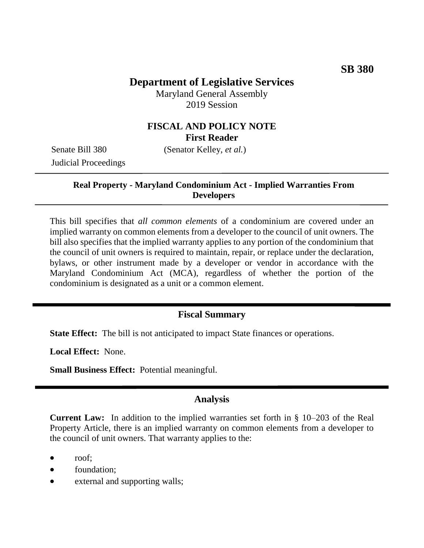# **Department of Legislative Services**

Maryland General Assembly 2019 Session

## **FISCAL AND POLICY NOTE First Reader**

Judicial Proceedings

Senate Bill 380 (Senator Kelley, *et al.*)

### **Real Property - Maryland Condominium Act - Implied Warranties From Developers**

This bill specifies that *all common elements* of a condominium are covered under an implied warranty on common elements from a developer to the council of unit owners. The bill also specifies that the implied warranty applies to any portion of the condominium that the council of unit owners is required to maintain, repair, or replace under the declaration, bylaws, or other instrument made by a developer or vendor in accordance with the Maryland Condominium Act (MCA), regardless of whether the portion of the condominium is designated as a unit or a common element.

## **Fiscal Summary**

**State Effect:** The bill is not anticipated to impact State finances or operations.

**Local Effect:** None.

**Small Business Effect:** Potential meaningful.

## **Analysis**

**Current Law:** In addition to the implied warranties set forth in § 10–203 of the Real Property Article, there is an implied warranty on common elements from a developer to the council of unit owners. That warranty applies to the:

- roof:
- foundation;
- external and supporting walls;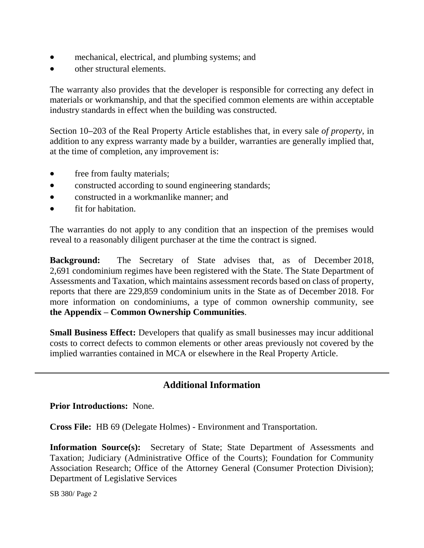- mechanical, electrical, and plumbing systems; and
- other structural elements.

The warranty also provides that the developer is responsible for correcting any defect in materials or workmanship, and that the specified common elements are within acceptable industry standards in effect when the building was constructed.

Section 10**–**203 of the Real Property Article establishes that, in every sale *of property*, in addition to any express warranty made by a builder, warranties are generally implied that, at the time of completion, any improvement is:

- free from faulty materials;
- constructed according to sound engineering standards;
- constructed in a workmanlike manner: and
- fit for habitation.

The warranties do not apply to any condition that an inspection of the premises would reveal to a reasonably diligent purchaser at the time the contract is signed.

**Background:** The Secretary of State advises that, as of December 2018, 2,691 condominium regimes have been registered with the State. The State Department of Assessments and Taxation, which maintains assessment records based on class of property, reports that there are 229,859 condominium units in the State as of December 2018. For more information on condominiums, a type of common ownership community, see **the Appendix – Common Ownership Communities**.

**Small Business Effect:** Developers that qualify as small businesses may incur additional costs to correct defects to common elements or other areas previously not covered by the implied warranties contained in MCA or elsewhere in the Real Property Article.

# **Additional Information**

**Prior Introductions:** None.

**Cross File:** HB 69 (Delegate Holmes) - Environment and Transportation.

**Information Source(s):** Secretary of State; State Department of Assessments and Taxation; Judiciary (Administrative Office of the Courts); Foundation for Community Association Research; Office of the Attorney General (Consumer Protection Division); Department of Legislative Services

SB 380/ Page 2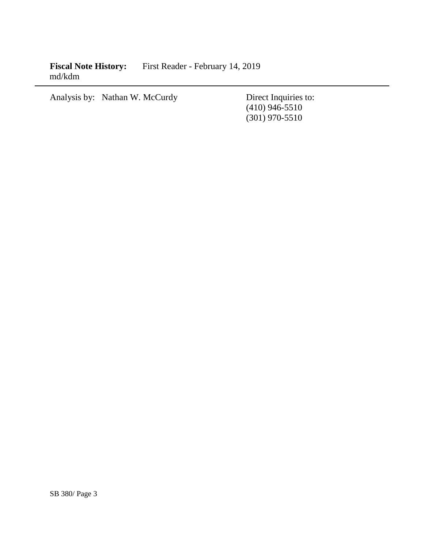Fiscal Note History: First Reader - February 14, 2019 md/kdm

Analysis by: Nathan W. McCurdy Direct Inquiries to:

(410) 946-5510 (301) 970-5510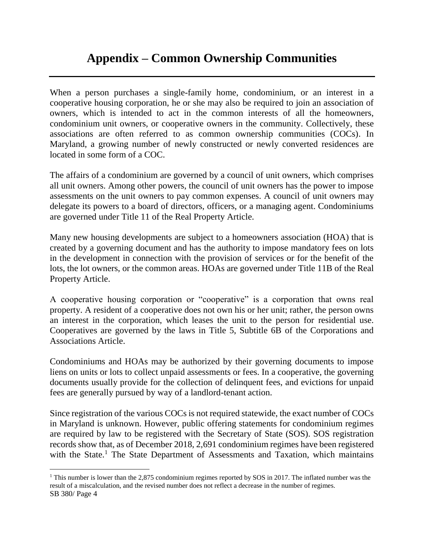# **Appendix – Common Ownership Communities**

When a person purchases a single-family home, condominium, or an interest in a cooperative housing corporation, he or she may also be required to join an association of owners, which is intended to act in the common interests of all the homeowners, condominium unit owners, or cooperative owners in the community. Collectively, these associations are often referred to as common ownership communities (COCs). In Maryland, a growing number of newly constructed or newly converted residences are located in some form of a COC.

The affairs of a condominium are governed by a council of unit owners, which comprises all unit owners. Among other powers, the council of unit owners has the power to impose assessments on the unit owners to pay common expenses. A council of unit owners may delegate its powers to a board of directors, officers, or a managing agent. Condominiums are governed under Title 11 of the Real Property Article.

Many new housing developments are subject to a homeowners association (HOA) that is created by a governing document and has the authority to impose mandatory fees on lots in the development in connection with the provision of services or for the benefit of the lots, the lot owners, or the common areas. HOAs are governed under Title 11B of the Real Property Article.

A cooperative housing corporation or "cooperative" is a corporation that owns real property. A resident of a cooperative does not own his or her unit; rather, the person owns an interest in the corporation, which leases the unit to the person for residential use. Cooperatives are governed by the laws in Title 5, Subtitle 6B of the Corporations and Associations Article.

Condominiums and HOAs may be authorized by their governing documents to impose liens on units or lots to collect unpaid assessments or fees. In a cooperative, the governing documents usually provide for the collection of delinquent fees, and evictions for unpaid fees are generally pursued by way of a landlord-tenant action.

Since registration of the various COCs is not required statewide, the exact number of COCs in Maryland is unknown. However, public offering statements for condominium regimes are required by law to be registered with the Secretary of State (SOS). SOS registration records show that, as of December 2018, 2,691 condominium regimes have been registered with the State.<sup>1</sup> The State Department of Assessments and Taxation, which maintains

SB 380/ Page 4 <sup>1</sup> This number is lower than the 2,875 condominium regimes reported by SOS in 2017. The inflated number was the result of a miscalculation, and the revised number does not reflect a decrease in the number of regimes.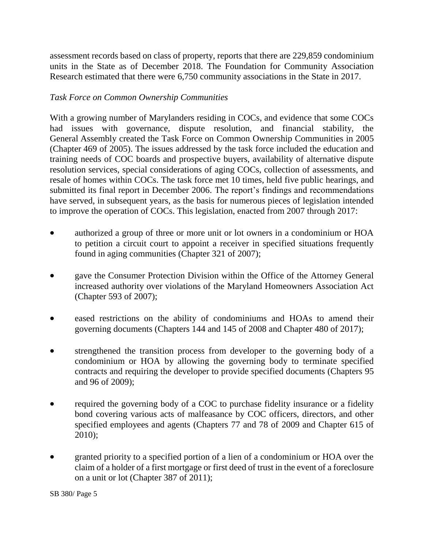assessment records based on class of property, reports that there are 229,859 condominium units in the State as of December 2018. The Foundation for Community Association Research estimated that there were 6,750 community associations in the State in 2017.

#### *Task Force on Common Ownership Communities*

With a growing number of Marylanders residing in COCs, and evidence that some COCs had issues with governance, dispute resolution, and financial stability, the General Assembly created the Task Force on Common Ownership Communities in 2005 (Chapter 469 of 2005). The issues addressed by the task force included the education and training needs of COC boards and prospective buyers, availability of alternative dispute resolution services, special considerations of aging COCs, collection of assessments, and resale of homes within COCs. The task force met 10 times, held five public hearings, and submitted its final report in December 2006. The report's findings and recommendations have served, in subsequent years, as the basis for numerous pieces of legislation intended to improve the operation of COCs. This legislation, enacted from 2007 through 2017:

- authorized a group of three or more unit or lot owners in a condominium or HOA to petition a circuit court to appoint a receiver in specified situations frequently found in aging communities (Chapter 321 of 2007);
- gave the Consumer Protection Division within the Office of the Attorney General increased authority over violations of the Maryland Homeowners Association Act (Chapter 593 of 2007);
- eased restrictions on the ability of condominiums and HOAs to amend their governing documents (Chapters 144 and 145 of 2008 and Chapter 480 of 2017);
- strengthened the transition process from developer to the governing body of a condominium or HOA by allowing the governing body to terminate specified contracts and requiring the developer to provide specified documents (Chapters 95 and 96 of 2009);
- required the governing body of a COC to purchase fidelity insurance or a fidelity bond covering various acts of malfeasance by COC officers, directors, and other specified employees and agents (Chapters 77 and 78 of 2009 and Chapter 615 of 2010);
- granted priority to a specified portion of a lien of a condominium or HOA over the claim of a holder of a first mortgage or first deed of trust in the event of a foreclosure on a unit or lot (Chapter 387 of 2011);